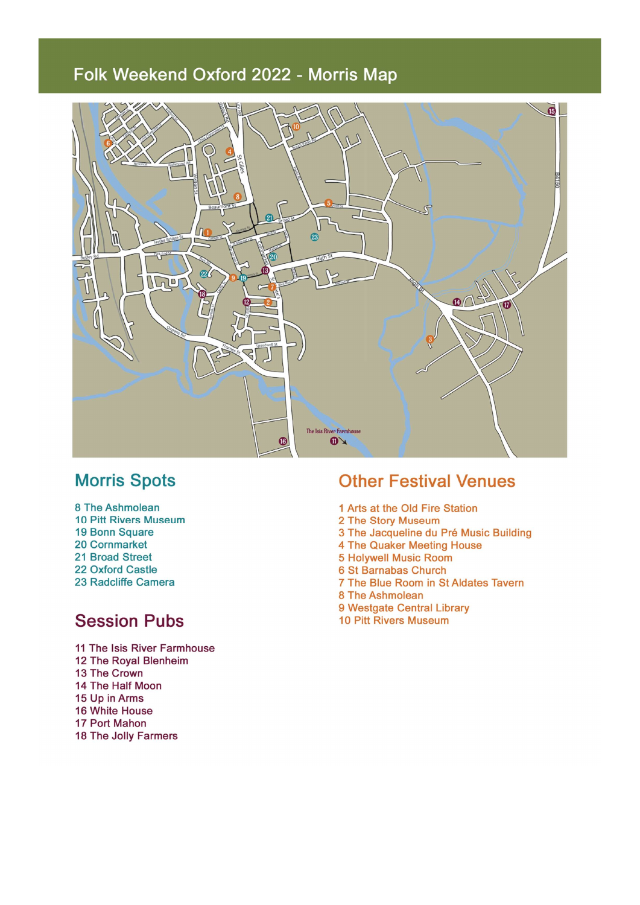# Folk Weekend Oxford 2022 - Morris Map



# **Morris Spots**

- 8 The Ashmolean **10 Pitt Rivers Museum**
- 19 Bonn Square
- 20 Cornmarket
- 21 Broad Street
- 22 Oxford Castle 23 Radcliffe Camera

# **Session Pubs**

11 The Isis River Farmhouse 12 The Royal Blenheim 13 The Crown 14 The Half Moon 15 Up in Arms 16 White House 17 Port Mahon 18 The Jolly Farmers

### **Other Festival Venues**

- 1 Arts at the Old Fire Station
- 2 The Story Museum
- 3 The Jacqueline du Pré Music Building
- 4 The Quaker Meeting House
- **5 Holywell Music Room**
- 6 St Barnabas Church
- 7 The Blue Room in St Aldates Tavern
- 8 The Ashmolean
- 9 Westgate Central Library
- **10 Pitt Rivers Museum**